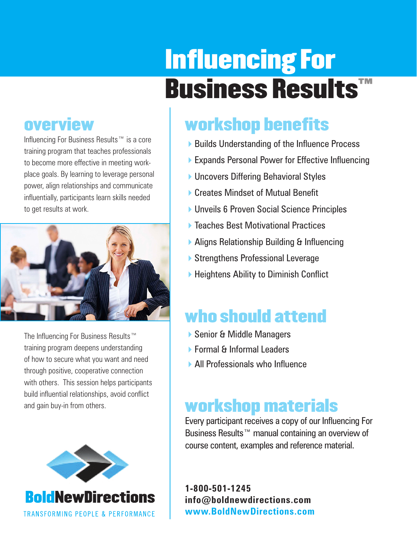# Influencing For Business Results™

### **overview**

Influencing For Business Results™ is a core training program that teaches professionals to become more effective in meeting workplace goals. By learning to leverage personal power, align relationships and communicate influentially, participants learn skills needed to get results at work.



The Influencing For Business Results™ training program deepens understanding of how to secure what you want and need through positive, cooperative connection with others. This session helps participants build influential relationships, avoid conflict and gain buy-in from others.



## workshop benefits

- ▶ Builds Understanding of the Influence Process
- ▶ Expands Personal Power for Effective Influencing
- ▶ Uncovers Differing Behavioral Styles
- ▶ Creates Mindset of Mutual Benefit
- ▶ Unveils 6 Proven Social Science Principles
- ▶ Teaches Best Motivational Practices
- ▶ Aligns Relationship Building & Influencing
- ▶ Strengthens Professional Leverage
- $\blacktriangleright$  Heightens Ability to Diminish Conflict

## who should attend

- ▶ Senior & Middle Managers
- ▶ Formal & Informal Leaders
- 4All Professionals who Influence

## workshop materials

Every participant receives a copy of our Influencing For Business Results<sup>™</sup> manual containing an overview of course content, examples and reference material.

**1-800-501-1245 info@boldnewdirections.com www.BoldNewDirections.com**